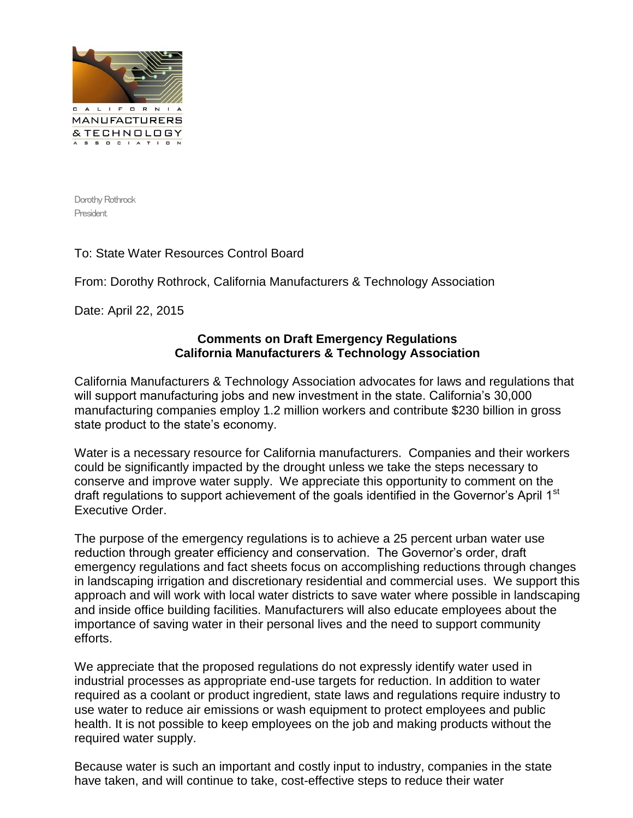

Dorothy Rothrock President

## To: State Water Resources Control Board

From: Dorothy Rothrock, California Manufacturers & Technology Association

Date: April 22, 2015

## **Comments on Draft Emergency Regulations California Manufacturers & Technology Association**

California Manufacturers & Technology Association advocates for laws and regulations that will support manufacturing jobs and new investment in the state. California's 30,000 manufacturing companies employ 1.2 million workers and contribute \$230 billion in gross state product to the state's economy.

Water is a necessary resource for California manufacturers. Companies and their workers could be significantly impacted by the drought unless we take the steps necessary to conserve and improve water supply. We appreciate this opportunity to comment on the draft regulations to support achievement of the goals identified in the Governor's April 1<sup>st</sup> Executive Order.

The purpose of the emergency regulations is to achieve a 25 percent urban water use reduction through greater efficiency and conservation. The Governor's order, draft emergency regulations and fact sheets focus on accomplishing reductions through changes in landscaping irrigation and discretionary residential and commercial uses. We support this approach and will work with local water districts to save water where possible in landscaping and inside office building facilities. Manufacturers will also educate employees about the importance of saving water in their personal lives and the need to support community efforts.

We appreciate that the proposed regulations do not expressly identify water used in industrial processes as appropriate end-use targets for reduction. In addition to water required as a coolant or product ingredient, state laws and regulations require industry to use water to reduce air emissions or wash equipment to protect employees and public health. It is not possible to keep employees on the job and making products without the required water supply.

Because water is such an important and costly input to industry, companies in the state have taken, and will continue to take, cost-effective steps to reduce their water